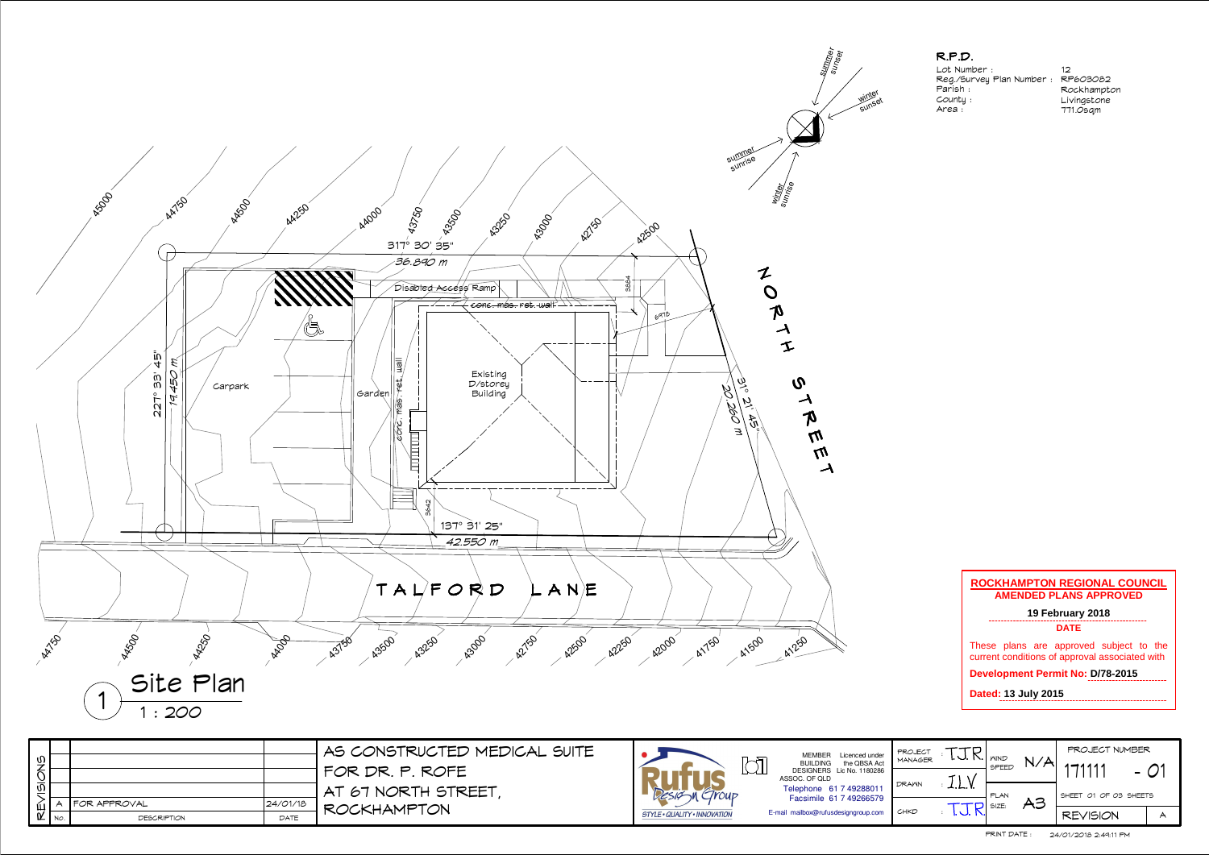## R.P.D.

 Lot Number : Reg./Survey Plan Number :Parish : County :Area :

12 RP603082 RockhamptonLivingstone 771.0sqm

| UECT<br>AGER |                      | <b>WIND</b><br>SPEED | N / 4 | PROJECT NUMBER<br>1111 |  |  |  |
|--------------|----------------------|----------------------|-------|------------------------|--|--|--|
| MΝ           | $\mathbf{r}$         | PLAN                 | 、3    | SHEET 01 OF 03 SHEETS  |  |  |  |
| D            | $\ddot{\phantom{a}}$ | SIZE:                |       | <b>REVISION</b>        |  |  |  |



| $\vec{\omega}$      |                |          | AS CONSTRUCTED MEDICAL SUITE              |                              | MEMBER Licenced under<br>the QBSA Act<br><b>BUILDING</b>                             | PROJECT<br>MANAGER | . U. IN.   <i>n</i> ind | N/A           | PROJECT NUMBER<br>$1 - 1111$ |        |
|---------------------|----------------|----------|-------------------------------------------|------------------------------|--------------------------------------------------------------------------------------|--------------------|-------------------------|---------------|------------------------------|--------|
| $\overline{\omega}$ |                |          | I FOR DR. P. ROFE<br>I AT 67 NORTH STREET | GrouP                        | <u>ISSIL</u><br>DESIGNERS Lic No. 1180286<br>ASSOC. OF QLD<br>Telephone 61 7 4928801 | <b>DRAWN</b>       | ᆠ.ட.                    | SPEED<br>PLAN | SHEET 01 OF 03 SHEETS        | $-$ 01 |
| Ш                   | I FOR APPROVAL | 24/01/18 | ROCKHAMPTON                               | RESIGN'                      | Facsimile 61 7 49266579                                                              |                    | TTD SIZE:               | AS            |                              |        |
| $\alpha$ No.        | DESCRIPTION    | DATE     |                                           | STYLE · QUALITY · INNOVATION | E-mail mailbox@rufusdesigngroup.com                                                  | CHKD               |                         |               | <b>REVISION</b>              |        |

## **ROCKHAMPTON REGIONAL COUNCIL AMENDED PLANS APPROVED19 February 2018 DATE**These plans are approved subject to the current conditions of approval associated with **Development Permit No: D/78 -2015 Dated: 13 July 2015**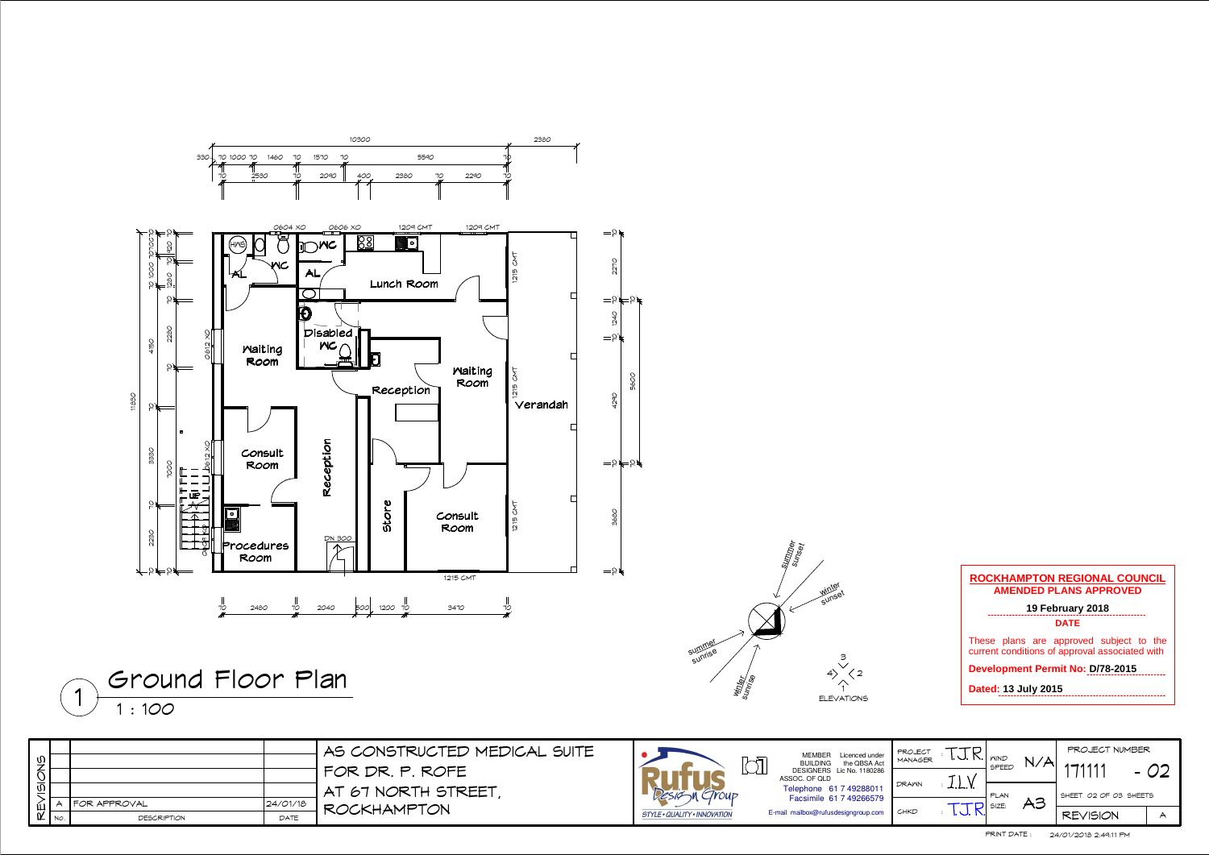1 ELEVATIONS

 $1:100$  $1 + 120$ 



| D            | $\ddot{\phantom{a}}$ | PLAN<br>SLSE         | 43 | SHEET 02 OF 03 SHEETS<br><b>REVISION</b> |  |  |
|--------------|----------------------|----------------------|----|------------------------------------------|--|--|
| ИN           |                      |                      |    |                                          |  |  |
| UECT<br>AGER |                      | <b>WIND</b><br>SPEED |    | PROJECT NUMBER<br>111                    |  |  |

|                             |                            | AS CONSTRUCTED MEDICAL SUITE |                                     | MEMBER Licenced under                             | PROJECT      |                            |                                         | PROJECT NUMBER        |      |
|-----------------------------|----------------------------|------------------------------|-------------------------------------|---------------------------------------------------|--------------|----------------------------|-----------------------------------------|-----------------------|------|
| $\frac{1}{2}$               |                            |                              | bì                                  | the QBSA Act<br><b>BUILDING</b>                   | MANAGER      | I. J. N.   <sub>MIND</sub> | $\mathbf{X} \times \mathbf{M}$<br>SPEED | $1 - 1111$            | - 02 |
| $\frac{1}{2}$               |                            | FOR DR. P. ROFE              |                                     | DESIGNERS Lic No. 1180286<br>ASSOC. OF QLD        | <b>DRAWN</b> |                            |                                         |                       |      |
|                             |                            | AT 67 NORTH STREET           | $C$ rour                            | Telephone 61 7 4928801<br>Facsimile 61 7 49266579 |              | ᅩ.ட. ۱.                    | I PLAN                                  | SHEET 02 OF 03 SHEETS |      |
| 仙                           | 24/01/18<br>I FOR APPROVAL |                              |                                     |                                                   |              |                            | A3<br>D SIZE:                           |                       |      |
| $\alpha$ $\sqrt{N_{\odot}}$ | DATE<br>DESCRIPTION        | <b>ROCKHAMPTON</b>           | <b>STYLE · QUALITY · INNOVATION</b> | E-mail mailbox@rufusdesigngroup.com               | CHKD         |                            |                                         | <b>REVISION</b>       |      |

## **ROCKHAMPTON REGIONAL COUNCILAMENDED PLANS APPROVED**

**19 February 2018 DATE**

These plans are approved subject to the current conditions of approval associated with

**Development Permit No: D/78 -2015**

**Dated: 13 July 2015**